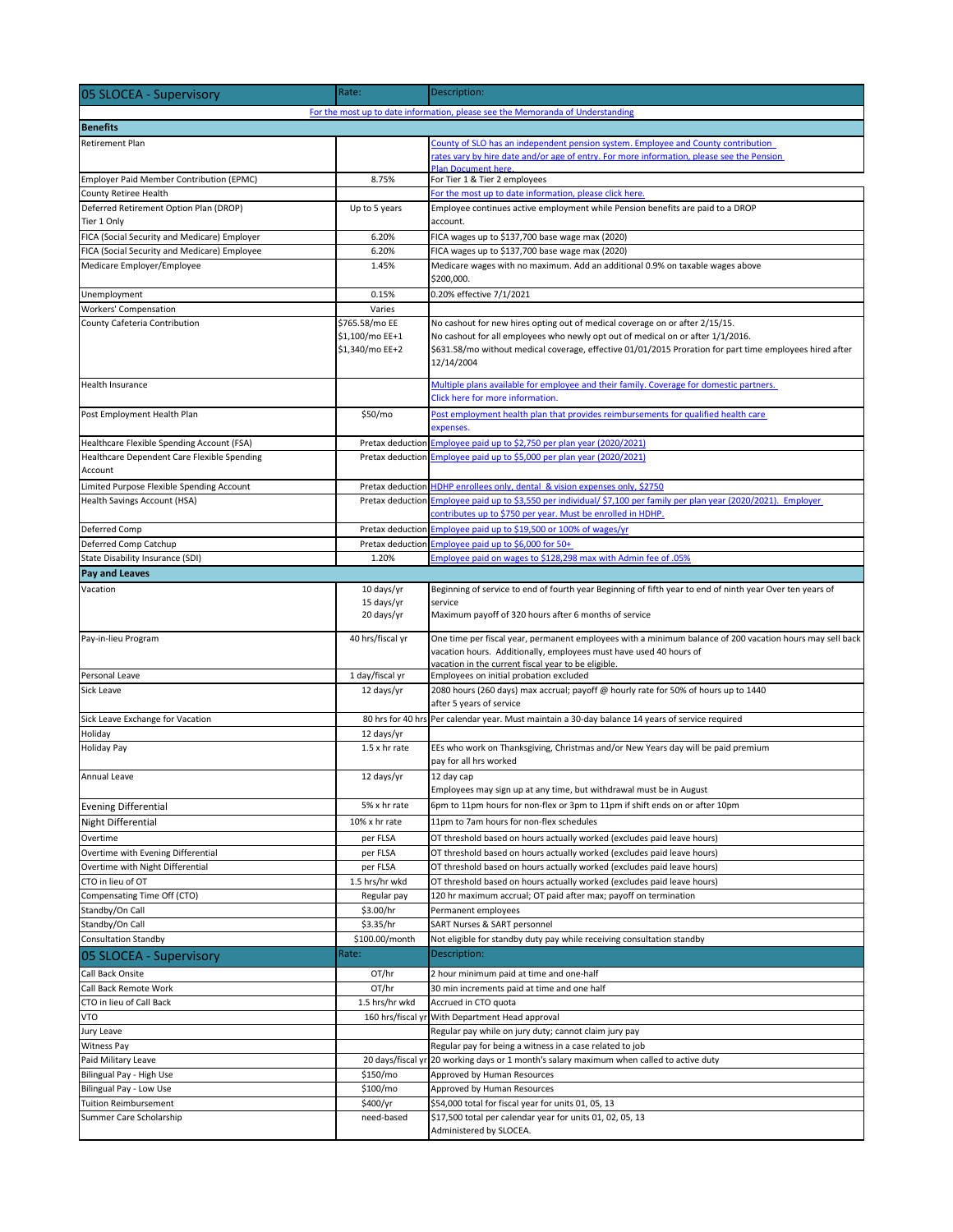| 05 SLOCEA - Supervisory                      | Rate:                                                | Description:                                                                                                                                                                                                                                                                              |  |
|----------------------------------------------|------------------------------------------------------|-------------------------------------------------------------------------------------------------------------------------------------------------------------------------------------------------------------------------------------------------------------------------------------------|--|
|                                              |                                                      | For the most up to date information, please see the Memoranda of Understanding                                                                                                                                                                                                            |  |
| <b>Benefits</b>                              |                                                      |                                                                                                                                                                                                                                                                                           |  |
| Retirement Plan                              |                                                      | County of SLO has an independent pension system. Employee and County contribution<br>rates vary by hire date and/or age of entry. For more information, please see the Pension                                                                                                            |  |
| Employer Paid Member Contribution (EPMC)     | 8.75%                                                | Plan Document here.                                                                                                                                                                                                                                                                       |  |
| County Retiree Health                        |                                                      | For Tier 1 & Tier 2 employees<br>For the most up to date information, please click here.                                                                                                                                                                                                  |  |
| Deferred Retirement Option Plan (DROP)       | Up to 5 years                                        | Employee continues active employment while Pension benefits are paid to a DROP                                                                                                                                                                                                            |  |
| Tier 1 Only                                  |                                                      | account.                                                                                                                                                                                                                                                                                  |  |
| FICA (Social Security and Medicare) Employer | 6.20%                                                | FICA wages up to \$137,700 base wage max (2020)                                                                                                                                                                                                                                           |  |
| FICA (Social Security and Medicare) Employee | 6.20%                                                | FICA wages up to \$137,700 base wage max (2020)                                                                                                                                                                                                                                           |  |
| Medicare Employer/Employee                   | 1.45%                                                | Medicare wages with no maximum. Add an additional 0.9% on taxable wages above<br>\$200,000.                                                                                                                                                                                               |  |
| Unemployment                                 | 0.15%                                                | 0.20% effective 7/1/2021                                                                                                                                                                                                                                                                  |  |
| <b>Workers' Compensation</b>                 | Varies                                               |                                                                                                                                                                                                                                                                                           |  |
| County Cafeteria Contribution                | \$765.58/mo EE<br>\$1,100/mo EE+1<br>\$1,340/mo EE+2 | No cashout for new hires opting out of medical coverage on or after 2/15/15.<br>No cashout for all employees who newly opt out of medical on or after 1/1/2016.<br>\$631.58/mo without medical coverage, effective 01/01/2015 Proration for part time employees hired after<br>12/14/2004 |  |
| Health Insurance                             |                                                      | Multiple plans available for employee and their family. Coverage for domestic partners.<br>Click here for more information.                                                                                                                                                               |  |
| Post Employment Health Plan                  | \$50/mo                                              | Post employment health plan that provides reimbursements for qualified health care<br>expenses.                                                                                                                                                                                           |  |
| Healthcare Flexible Spending Account (FSA)   |                                                      | Pretax deduction Employee paid up to \$2,750 per plan year (2020/2021)                                                                                                                                                                                                                    |  |
| Healthcare Dependent Care Flexible Spending  |                                                      | Pretax deduction Employee paid up to \$5,000 per plan year (2020/2021)                                                                                                                                                                                                                    |  |
| Account                                      |                                                      |                                                                                                                                                                                                                                                                                           |  |
| Limited Purpose Flexible Spending Account    |                                                      | Pretax deduction HDHP enrollees only, dental & vision expenses only, \$2750                                                                                                                                                                                                               |  |
| Health Savings Account (HSA)                 |                                                      | Pretax deduction Employee paid up to \$3,550 per individual/ \$7,100 per family per plan year (2020/2021). Employer<br>contributes up to \$750 per year. Must be enrolled in HDHP.                                                                                                        |  |
| Deferred Comp                                |                                                      | Pretax deduction <b>Employee paid up to \$19,500 or 100% of wages/yr</b>                                                                                                                                                                                                                  |  |
| Deferred Comp Catchup                        |                                                      | Pretax deduction Employee paid up to \$6,000 for 50+                                                                                                                                                                                                                                      |  |
| State Disability Insurance (SDI)             | 1.20%                                                | Employee paid on wages to \$128,298 max with Admin fee of .05%                                                                                                                                                                                                                            |  |
| Pay and Leaves                               |                                                      |                                                                                                                                                                                                                                                                                           |  |
| Vacation                                     | 10 days/yr<br>15 days/yr<br>20 days/yr               | Beginning of service to end of fourth year Beginning of fifth year to end of ninth year Over ten years of<br>service<br>Maximum payoff of 320 hours after 6 months of service                                                                                                             |  |
| Pay-in-lieu Program                          | 40 hrs/fiscal yr                                     | One time per fiscal year, permanent employees with a minimum balance of 200 vacation hours may sell back<br>vacation hours. Additionally, employees must have used 40 hours of                                                                                                            |  |
| Personal Leave                               | 1 day/fiscal yr                                      | vacation in the current fiscal year to be eligible.<br>Employees on initial probation excluded                                                                                                                                                                                            |  |
| Sick Leave                                   | 12 days/yr                                           | 2080 hours (260 days) max accrual; payoff @ hourly rate for 50% of hours up to 1440<br>after 5 years of service                                                                                                                                                                           |  |
| Sick Leave Exchange for Vacation             |                                                      | 80 hrs for 40 hrs Per calendar year. Must maintain a 30-day balance 14 years of service required                                                                                                                                                                                          |  |
| Holiday                                      | 12 days/yr                                           |                                                                                                                                                                                                                                                                                           |  |
| Holiday Pay                                  | 1.5 x hr rate                                        | EEs who work on Thanksgiving, Christmas and/or New Years day will be paid premium<br>pay for all hrs worked                                                                                                                                                                               |  |
| Annual Leave                                 | 12 days/yr                                           | 12 day cap<br>Employees may sign up at any time, but withdrawal must be in August                                                                                                                                                                                                         |  |
| <b>Evening Differential</b>                  | 5% x hr rate                                         | 6pm to 11pm hours for non-flex or 3pm to 11pm if shift ends on or after 10pm                                                                                                                                                                                                              |  |
| Night Differential                           | 10% x hr rate                                        | 11pm to 7am hours for non-flex schedules                                                                                                                                                                                                                                                  |  |
| Overtime                                     | per FLSA                                             | OT threshold based on hours actually worked (excludes paid leave hours)                                                                                                                                                                                                                   |  |
| Overtime with Evening Differential           | per FLSA                                             | OT threshold based on hours actually worked (excludes paid leave hours)                                                                                                                                                                                                                   |  |
| Overtime with Night Differential             | per FLSA                                             | OT threshold based on hours actually worked (excludes paid leave hours)                                                                                                                                                                                                                   |  |
| CTO in lieu of OT                            | 1.5 hrs/hr wkd                                       | OT threshold based on hours actually worked (excludes paid leave hours)                                                                                                                                                                                                                   |  |
| Compensating Time Off (CTO)                  | Regular pay                                          | 120 hr maximum accrual; OT paid after max; payoff on termination                                                                                                                                                                                                                          |  |
| Standby/On Call                              | \$3.00/hr                                            | Permanent employees                                                                                                                                                                                                                                                                       |  |
| Standby/On Call                              | \$3.35/hr                                            | SART Nurses & SART personnel                                                                                                                                                                                                                                                              |  |
| <b>Consultation Standby</b>                  | \$100.00/month<br>Rate:                              | Not eligible for standby duty pay while receiving consultation standby                                                                                                                                                                                                                    |  |
| 05 SLOCEA - Supervisory                      |                                                      | Description:                                                                                                                                                                                                                                                                              |  |
| Call Back Onsite                             | OT/hr                                                | 2 hour minimum paid at time and one-half                                                                                                                                                                                                                                                  |  |
| Call Back Remote Work                        | OT/hr                                                | 30 min increments paid at time and one half                                                                                                                                                                                                                                               |  |
| CTO in lieu of Call Back                     | 1.5 hrs/hr wkd                                       | Accrued in CTO quota                                                                                                                                                                                                                                                                      |  |
| VTO                                          |                                                      | 160 hrs/fiscal yr With Department Head approval                                                                                                                                                                                                                                           |  |
| Jury Leave<br><b>Witness Pay</b>             |                                                      | Regular pay while on jury duty; cannot claim jury pay<br>Regular pay for being a witness in a case related to job                                                                                                                                                                         |  |
| Paid Military Leave                          |                                                      | 20 days/fiscal yr 20 working days or 1 month's salary maximum when called to active duty                                                                                                                                                                                                  |  |
| Bilingual Pay - High Use                     | \$150/mo                                             | Approved by Human Resources                                                                                                                                                                                                                                                               |  |
| Bilingual Pay - Low Use                      | \$100/mo                                             | Approved by Human Resources                                                                                                                                                                                                                                                               |  |
| <b>Tuition Reimbursement</b>                 | \$400/yr                                             | \$54,000 total for fiscal year for units 01, 05, 13                                                                                                                                                                                                                                       |  |
| Summer Care Scholarship                      | need-based                                           | \$17,500 total per calendar year for units 01, 02, 05, 13<br>Administered by SLOCEA.                                                                                                                                                                                                      |  |